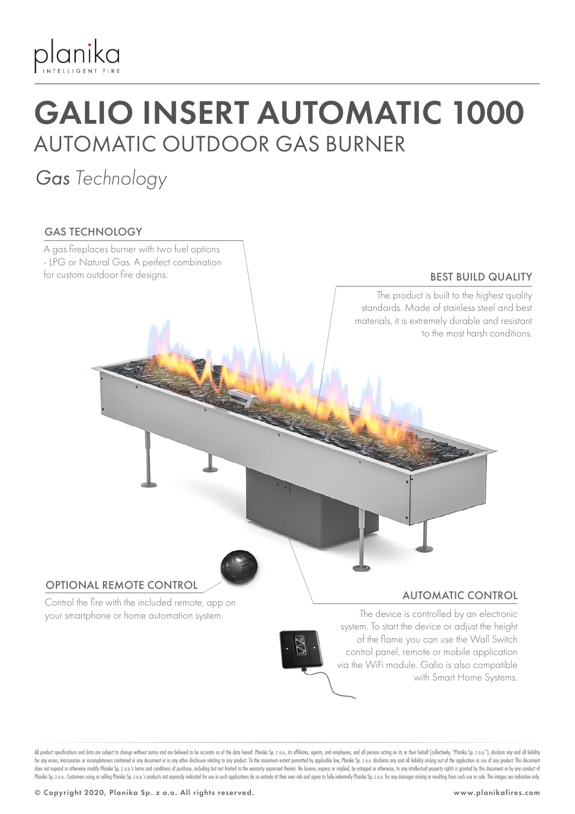

## GALIO INSERT AUTOMATIC 1000 AUTOMATIC OUTDOOR GAS BURNER

### *Gas Technology*

#### GAS TECHNOLOGY

Control the fire with the included remote, app on your smartphone or home automation system. OPTIONAL REMOTE CONTROL AUTOMATIC CONTROL The device is controlled by an electronic system. To start the device or adjust the height of the flame you can use the Wall Switch control panel, remote or mobile application BEST BUILD QUALITY A gas fireplaces burner with two fuel options - LPG or Natural Gas. A perfect combination for custom outdoor fire designs. The product is built to the highest quality standards. Made of stainless steel and best materials, it is extremely durable and resistant to the most harsh conditions.

All product specifications and data are subject to change without notice and are believed to be accurate as of the date hereof. Planika Sp. z o.o., its affiliates, agents, and employees, and all persons acting on its or th for any errors, inaccuracies or incompleteness contained in any document or in any other disclosure relating to any product. To the maximum extent permitted by applicable law, Planika Sp. z o.o. disclaims any and all liabi does not expand or otherwise modify Planika Sp. 2 o.o.'s terms and conditions of purchase, including but not limited to the warranty expressed therein. No license, express or implied, by estoppel or otherwise, to any intel Planika Sp. z o.o. Customers using or selling Planika Sp. z o.o.'s products not expressly indicated for use in such applications do so entirely at their own risk and agree to fully indemnify Planika Sp. z o.o. for any dama

via the WiFi module. Galio is also compatible

with Smart Home Systems.